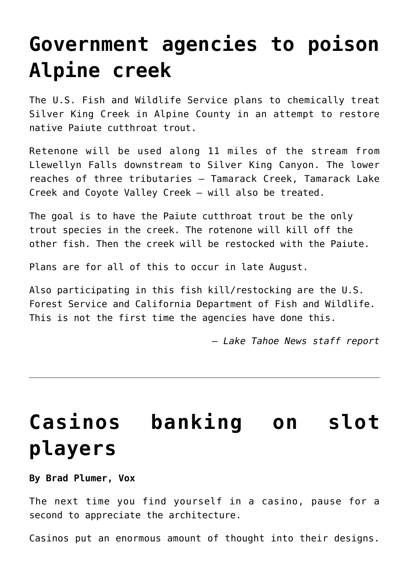### **[Government agencies to poison](https://www.laketahoenews.net/2014/08/government-agencies-to-poison-alpine-creek/) [Alpine creek](https://www.laketahoenews.net/2014/08/government-agencies-to-poison-alpine-creek/)**

The U.S. Fish and Wildlife Service plans to chemically treat Silver King Creek in Alpine County in an attempt to restore native Paiute cutthroat trout.

Retenone will be used along 11 miles of the stream from Llewellyn Falls downstream to Silver King Canyon. The lower reaches of three tributaries – Tamarack Creek, Tamarack Lake Creek and Coyote Valley Creek — will also be treated.

The goal is to have the Paiute cutthroat trout be the only trout species in the creek. The rotenone will kill off the other fish. Then the creek will be restocked with the Paiute.

Plans are for all of this to occur in late August.

Also participating in this fish kill/restocking are the U.S. Forest Service and California Department of Fish and Wildlife. This is not the first time the agencies have done this.

*— Lake Tahoe News staff report*

# **[Casinos banking on slot](https://www.laketahoenews.net/2014/08/casinos-banking-on-slot-players/) [players](https://www.laketahoenews.net/2014/08/casinos-banking-on-slot-players/)**

**By Brad Plumer, Vox**

The next time you find yourself in a casino, pause for a second to appreciate the architecture.

Casinos put an enormous amount of thought into their designs.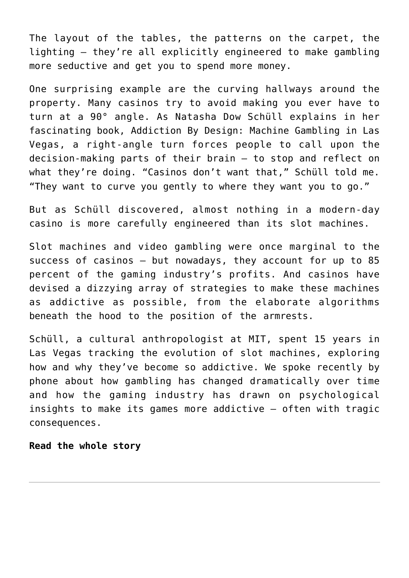The layout of the tables, the patterns on the carpet, the lighting — they're all explicitly engineered to make gambling more seductive and get you to spend more money.

One surprising example are the curving hallways around the property. Many casinos try to avoid making you ever have to turn at a 90° angle. As Natasha Dow Schüll explains in her fascinating book, Addiction By Design: Machine Gambling in Las Vegas, a right-angle turn forces people to call upon the decision-making parts of their brain — to stop and reflect on what they're doing. "Casinos don't want that," Schüll told me. "They want to curve you gently to where they want you to go."

But as Schüll discovered, almost nothing in a modern-day casino is more carefully engineered than its slot machines.

Slot machines and video gambling were once marginal to the success of casinos — but nowadays, they account for up to 85 percent of the gaming industry's profits. And casinos have devised a dizzying array of strategies to make these machines as addictive as possible, from the elaborate algorithms beneath the hood to the position of the armrests.

Schüll, a cultural anthropologist at MIT, spent 15 years in Las Vegas tracking the evolution of slot machines, exploring how and why they've become so addictive. We spoke recently by phone about how gambling has changed dramatically over time and how the gaming industry has drawn on psychological insights to make its games more addictive — often with tragic consequences.

#### **[Read the whole story](http://www.vox.com/2014/8/7/5976927/slot-machines-casinos-addiction-by-design#story)**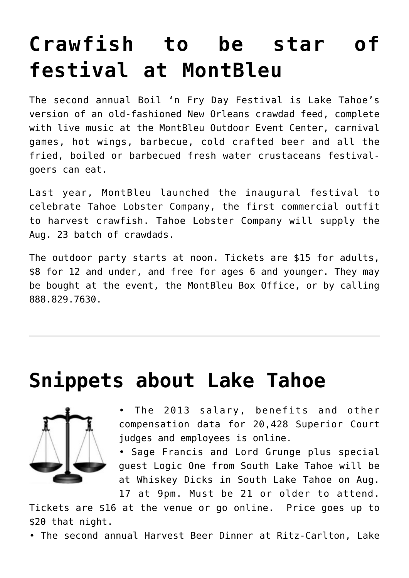# **[Crawfish to be star of](https://www.laketahoenews.net/2014/08/crawfish-to-be-star-of-festival-at-montbleu/) [festival at MontBleu](https://www.laketahoenews.net/2014/08/crawfish-to-be-star-of-festival-at-montbleu/)**

The second annual Boil 'n Fry Day Festival is Lake Tahoe's version of an old-fashioned New Orleans crawdad feed, complete with live music at the MontBleu Outdoor Event Center, carnival games, hot wings, barbecue, cold crafted beer and all the fried, boiled or barbecued fresh water crustaceans festivalgoers can eat.

Last year, MontBleu launched the inaugural festival to celebrate Tahoe Lobster Company, the first commercial outfit to harvest crawfish. Tahoe Lobster Company will supply the Aug. 23 batch of crawdads.

The outdoor party starts at noon. Tickets are \$15 for adults, \$8 for 12 and under, and free for ages 6 and younger. They may be bought at the event, the MontBleu Box Office, or by calling 888.829.7630.

### **[Snippets about Lake Tahoe](https://www.laketahoenews.net/2014/08/snippets-about-lake-tahoe-667/)**



The 2013 salary, benefits and other compensation data for 20,428 Superior Court judges and employees is [online.](http://publicpay.ca.gov/)

• Sage Francis and Lord Grunge plus special guest Logic One from South Lake Tahoe will be at Whiskey Dicks in South Lake Tahoe on Aug. 17 at 9pm. Must be 21 or older to attend.

Tickets are \$16 at the venue or go [online](http://www.ticketweb.com/www.Ticketweb.com). Price goes up to \$20 that night.

• The second annual Harvest Beer Dinner at Ritz-Carlton, Lake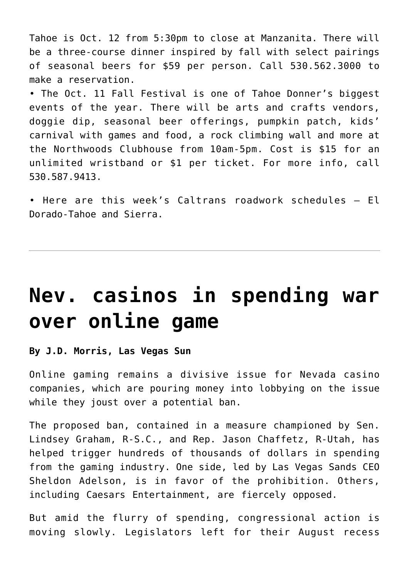Tahoe is Oct. 12 from 5:30pm to close at Manzanita. There will be a three-course dinner inspired by fall with select pairings of seasonal beers for \$59 per person. Call 530.562.3000 to make a reservation.

• The Oct. 11 Fall Festival is one of Tahoe Donner's biggest events of the year. There will be arts and crafts vendors, doggie dip, seasonal beer offerings, pumpkin patch, kids' carnival with games and food, a rock climbing wall and more at the Northwoods Clubhouse from 10am-5pm. Cost is \$15 for an unlimited wristband or \$1 per ticket. For more info, call 530.587.9413.

• Here are this week's Caltrans roadwork schedules — [El](https://www.laketahoenews.net/wp-content/uploads/2014/08/El-Dorado-Tahoe1.pdf) [Dorado-Tahoe](https://www.laketahoenews.net/wp-content/uploads/2014/08/El-Dorado-Tahoe1.pdf) and [Sierra](https://www.laketahoenews.net/wp-content/uploads/2014/08/Sierra1.pdf).

### **[Nev. casinos in spending war](https://www.laketahoenews.net/2014/08/nev-casinos-in-spending-war-over-online-game/) [over online game](https://www.laketahoenews.net/2014/08/nev-casinos-in-spending-war-over-online-game/)**

#### **By J.D. Morris, Las Vegas Sun**

Online gaming remains a divisive issue for Nevada casino companies, which are pouring money into lobbying on the issue while they joust over a potential ban.

The proposed ban, contained in a measure championed by Sen. Lindsey Graham, R-S.C., and Rep. Jason Chaffetz, R-Utah, has helped trigger hundreds of thousands of dollars in spending from the gaming industry. One side, led by Las Vegas Sands CEO Sheldon Adelson, is in favor of the prohibition. Others, including Caesars Entertainment, are fiercely opposed.

But amid the flurry of spending, congressional action is moving slowly. Legislators left for their August recess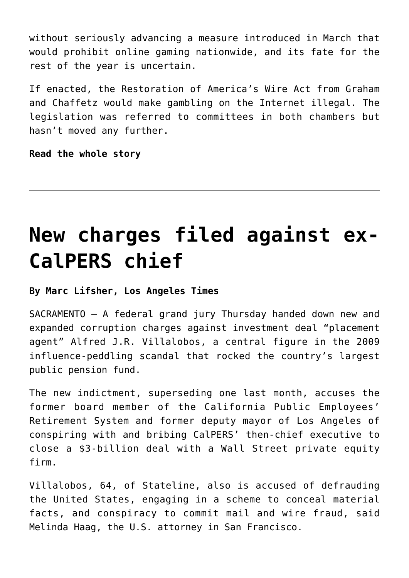without seriously advancing a measure introduced in March that would prohibit online gaming nationwide, and its fate for the rest of the year is uncertain.

If enacted, the Restoration of America's Wire Act from Graham and Chaffetz would make gambling on the Internet illegal. The legislation was referred to committees in both chambers but hasn't moved any further.

**[Read the whole story](http://vegasinc.com/business/gaming/2014/aug/08/spending-war-over-online-gaming-rages-between-neva/?__utma=1.575329560.1400858893.1407443272.1407516553.2&__utmb=1.1.10.1407516553&__utmc=1&__utmx=-&__utmz=1.1407443272.1.1.utmcsr=%28direct%29|utmccn=%28direct%29|utmcmd=%28none%29&__utmv=-&__utmk=175887778)**

# **[New charges filed against ex-](https://www.laketahoenews.net/2014/08/new-charges-filed-against-ex-calpers-chief/)[CalPERS chief](https://www.laketahoenews.net/2014/08/new-charges-filed-against-ex-calpers-chief/)**

#### **By Marc Lifsher, Los Angeles Times**

SACRAMENTO — A federal grand jury Thursday handed down new and expanded corruption charges against investment deal "placement agent" Alfred J.R. Villalobos, a central figure in the 2009 influence-peddling scandal that rocked the country's largest public pension fund.

The new indictment, superseding one last month, accuses the former board member of the California Public Employees' Retirement System and former deputy mayor of Los Angeles of conspiring with and bribing CalPERS' then-chief executive to close a \$3-billion deal with a Wall Street private equity firm.

Villalobos, 64, of Stateline, also is accused of defrauding the United States, engaging in a scheme to conceal material facts, and conspiracy to commit mail and wire fraud, said Melinda Haag, the U.S. attorney in San Francisco.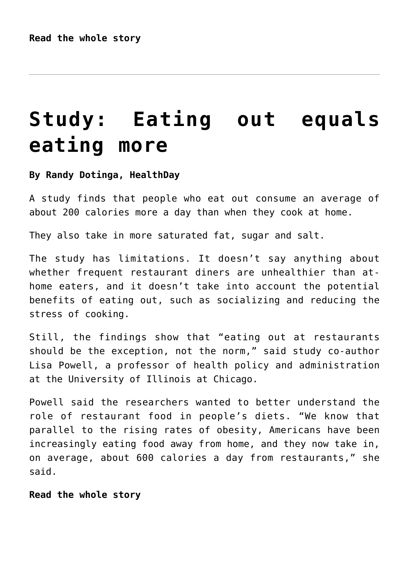## **[Study: Eating out equals](https://www.laketahoenews.net/2014/08/study-eating-out-equals-eating-more/) [eating more](https://www.laketahoenews.net/2014/08/study-eating-out-equals-eating-more/)**

#### **By Randy Dotinga, HealthDay**

A study finds that people who eat out consume an average of about 200 calories more a day than when they cook at home.

They also take in more saturated fat, sugar and salt.

The study has limitations. It doesn't say anything about whether frequent restaurant diners are unhealthier than athome eaters, and it doesn't take into account the potential benefits of eating out, such as socializing and reducing the stress of cooking.

Still, the findings show that "eating out at restaurants should be the exception, not the norm," said study co-author Lisa Powell, a professor of health policy and administration at the University of Illinois at Chicago.

Powell said the researchers wanted to better understand the role of restaurant food in people's diets. "We know that parallel to the rising rates of obesity, Americans have been increasingly eating food away from home, and they now take in, on average, about 600 calories a day from restaurants," she said.

**[Read the whole story](http://consumer.healthday.com/vitamins-and-nutrition-information-27/dietary-fat-health-news-301/study-eating-out-adds-200-calories-a-day-on-average-690546.html)**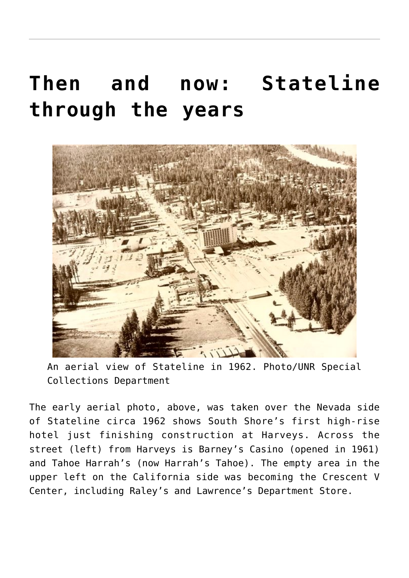# **[Then and now: Stateline](https://www.laketahoenews.net/2014/08/then-and-now-stateline-through-the-years/) [through the years](https://www.laketahoenews.net/2014/08/then-and-now-stateline-through-the-years/)**



An aerial view of Stateline in 1962. Photo/UNR Special Collections Department

The early aerial photo, above, was taken over the Nevada side of Stateline circa 1962 shows South Shore's first high-rise hotel just finishing construction at Harveys. Across the street (left) from Harveys is Barney's Casino (opened in 1961) and Tahoe Harrah's (now Harrah's Tahoe). The empty area in the upper left on the California side was becoming the Crescent V Center, including Raley's and Lawrence's Department Store.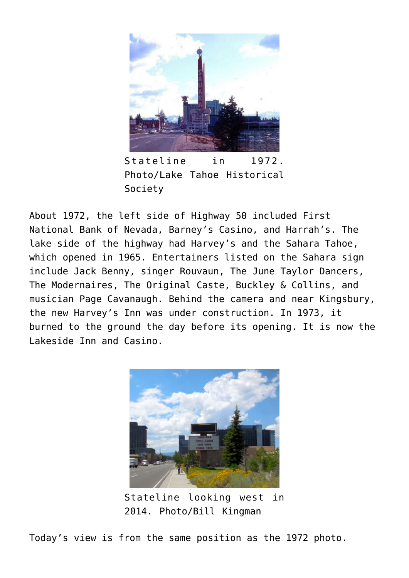

Stateline in 1972. Photo/Lake Tahoe Historical Society

About 1972, the left side of Highway 50 included First National Bank of Nevada, Barney's Casino, and Harrah's. The lake side of the highway had Harvey's and the Sahara Tahoe, which opened in 1965. Entertainers listed on the Sahara sign include Jack Benny, singer Rouvaun, The June Taylor Dancers, The Modernaires, The Original Caste, Buckley & Collins, and musician Page Cavanaugh. Behind the camera and near Kingsbury, the new Harvey's Inn was under construction. In 1973, it burned to the ground the day before its opening. It is now the Lakeside Inn and Casino.



Stateline looking west in 2014. Photo/Bill Kingman

Today's view is from the same position as the 1972 photo.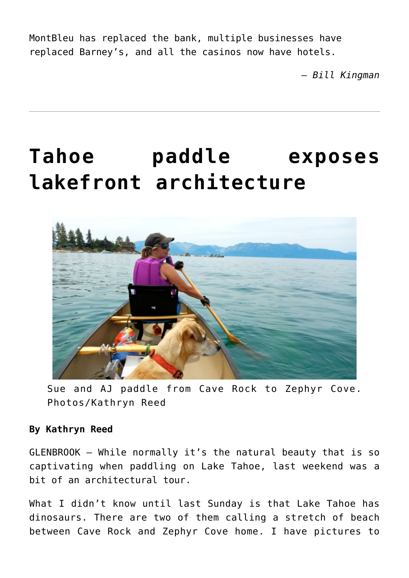MontBleu has replaced the bank, multiple businesses have replaced Barney's, and all the casinos now have hotels.

*— Bill Kingman*

# **[Tahoe paddle exposes](https://www.laketahoenews.net/2014/08/tahoe-paddle-exposes-lakefront-architecture/) [lakefront architecture](https://www.laketahoenews.net/2014/08/tahoe-paddle-exposes-lakefront-architecture/)**



Sue and AJ paddle from Cave Rock to Zephyr Cove. Photos/Kathryn Reed

#### **By Kathryn Reed**

GLENBROOK – While normally it's the natural beauty that is so captivating when paddling on Lake Tahoe, last weekend was a bit of an architectural tour.

What I didn't know until last Sunday is that Lake Tahoe has dinosaurs. There are two of them calling a stretch of beach between Cave Rock and Zephyr Cove home. I have pictures to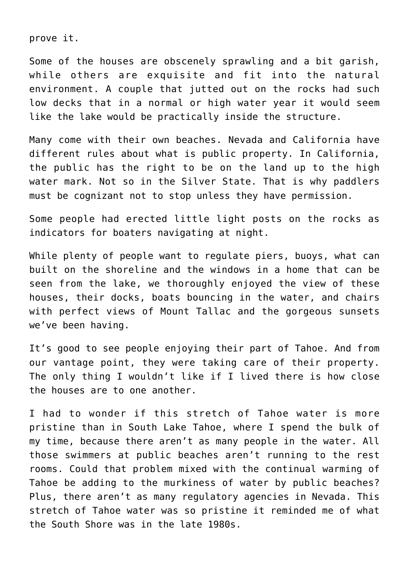prove it.

Some of the houses are obscenely sprawling and a bit garish, while others are exquisite and fit into the natural environment. A couple that jutted out on the rocks had such low decks that in a normal or high water year it would seem like the lake would be practically inside the structure.

Many come with their own beaches. Nevada and California have different rules about what is public property. In California, the public has the right to be on the land up to the high water mark. Not so in the Silver State. That is why paddlers must be cognizant not to stop unless they have permission.

Some people had erected little light posts on the rocks as indicators for boaters navigating at night.

While plenty of people want to regulate piers, buoys, what can built on the shoreline and the windows in a home that can be seen from the lake, we thoroughly enjoyed the view of these houses, their docks, boats bouncing in the water, and chairs with perfect views of Mount Tallac and the gorgeous sunsets we've been having.

It's good to see people enjoying their part of Tahoe. And from our vantage point, they were taking care of their property. The only thing I wouldn't like if I lived there is how close the houses are to one another.

I had to wonder if this stretch of Tahoe water is more pristine than in South Lake Tahoe, where I spend the bulk of my time, because there aren't as many people in the water. All those swimmers at public beaches aren't running to the rest rooms. Could that problem mixed with the continual warming of Tahoe be adding to the murkiness of water by public beaches? Plus, there aren't as many regulatory agencies in Nevada. This stretch of Tahoe water was so pristine it reminded me of what the South Shore was in the late 1980s.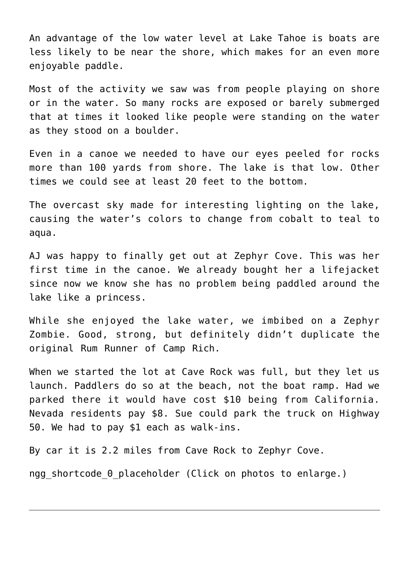An advantage of the low water level at Lake Tahoe is boats are less likely to be near the shore, which makes for an even more enjoyable paddle.

Most of the activity we saw was from people playing on shore or in the water. So many rocks are exposed or barely submerged that at times it looked like people were standing on the water as they stood on a boulder.

Even in a canoe we needed to have our eyes peeled for rocks more than 100 yards from shore. The lake is that low. Other times we could see at least 20 feet to the bottom.

The overcast sky made for interesting lighting on the lake, causing the water's colors to change from cobalt to teal to aqua.

AJ was happy to finally get out at Zephyr Cove. This was her first time in the canoe. We already bought her a lifejacket since now we know she has no problem being paddled around the lake like a princess.

While she enjoyed the lake water, we imbibed on a Zephyr Zombie. Good, strong, but definitely didn't duplicate the original Rum Runner of Camp Rich.

When we started the lot at Cave Rock was full, but they let us launch. Paddlers do so at the beach, not the boat ramp. Had we parked there it would have cost \$10 being from California. Nevada residents pay \$8. Sue could park the truck on Highway 50. We had to pay \$1 each as walk-ins.

By car it is 2.2 miles from Cave Rock to Zephyr Cove.

ngg shortcode 0 placeholder (Click on photos to enlarge.)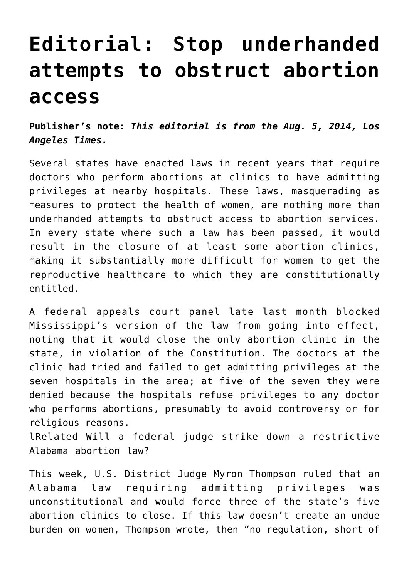# **[Editorial: Stop underhanded](https://www.laketahoenews.net/2014/08/editorial-stop-underhanded-attempts-to-obstruct-abortion-access/) [attempts to obstruct abortion](https://www.laketahoenews.net/2014/08/editorial-stop-underhanded-attempts-to-obstruct-abortion-access/) [access](https://www.laketahoenews.net/2014/08/editorial-stop-underhanded-attempts-to-obstruct-abortion-access/)**

**Publisher's note:** *This editorial is from the Aug. 5, 2014, Los Angeles Times.*

Several states have enacted laws in recent years that require doctors who perform abortions at clinics to have admitting privileges at nearby hospitals. These laws, masquerading as measures to protect the health of women, are nothing more than underhanded attempts to obstruct access to abortion services. In every state where such a law has been passed, it would result in the closure of at least some abortion clinics, making it substantially more difficult for women to get the reproductive healthcare to which they are constitutionally entitled.

A federal appeals court panel late last month blocked Mississippi's version of the law from going into effect, noting that it would close the only abortion clinic in the state, in violation of the Constitution. The doctors at the clinic had tried and failed to get admitting privileges at the seven hospitals in the area; at five of the seven they were denied because the hospitals refuse privileges to any doctor who performs abortions, presumably to avoid controversy or for religious reasons.

lRelated Will a federal judge strike down a restrictive Alabama abortion law?

This week, U.S. District Judge Myron Thompson ruled that an Alabama law requiring admitting privileges was unconstitutional and would force three of the state's five abortion clinics to close. If this law doesn't create an undue burden on women, Thompson wrote, then "no regulation, short of